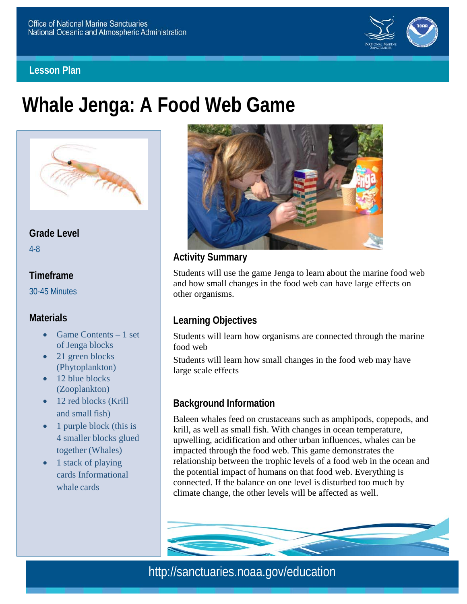## **Lesson Plan**



# **Whale Jenga: A Food Web Game**



**Grade Level**

4-8

## **Timeframe**

30-45 Minutes

## **Materials**

- Game Contents 1 set of Jenga blocks
- 21 green blocks (Phytoplankton)
- 12 blue blocks (Zooplankton)
- 12 red blocks (Krill and small fish)
- 1 purple block (this is 4 smaller blocks glued together (Whales)
- 1 stack of playing cards Informational whale cards



## **Activity Summary**

Students will use the game Jenga to learn about the marine food web and how small changes in the food web can have large effects on other organisms.

## **Learning Objectives**

Students will learn how organisms are connected through the marine food web

Students will learn how small changes in the food web may have large scale effects

## **Background Information**

Baleen whales feed on crustaceans such as amphipods, copepods, and krill, as well as small fish. With changes in ocean temperature, upwelling, acidification and other urban influences, whales can be impacted through the food web. This game demonstrates the relationship between the trophic levels of a food web in the ocean and the potential impact of humans on that food web. Everything is connected. If the balance on one level is disturbed too much by climate change, the other levels will be affected as well.



## http://sanctuaries.noaa.gov/education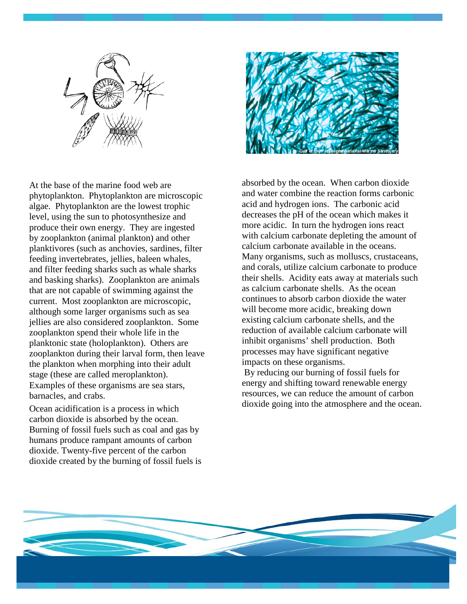

At the base of the marine food web are phytoplankton. Phytoplankton are microscopic algae. Phytoplankton are the lowest trophic level, using the sun to photosynthesize and produce their own energy. They are ingested by zooplankton (animal plankton) and other planktivores (such as anchovies, sardines, filter feeding invertebrates, jellies, baleen whales, and filter feeding sharks such as whale sharks and basking sharks). Zooplankton are animals that are not capable of swimming against the current. Most zooplankton are microscopic, although some larger organisms such as sea jellies are also considered zooplankton. Some zooplankton spend their whole life in the planktonic state (holoplankton). Others are zooplankton during their larval form, then leave the plankton when morphing into their adult stage (these are called meroplankton). Examples of these organisms are sea stars, barnacles, and crabs.

Ocean acidification is a process in which carbon dioxide is absorbed by the ocean. Burning of fossil fuels such as coal and gas by humans produce rampant amounts of carbon dioxide. Twenty-five percent of the carbon dioxide created by the burning of fossil fuels is



absorbed by the ocean. When carbon dioxide and water combine the reaction forms carbonic acid and hydrogen ions. The carbonic acid decreases the pH of the ocean which makes it more acidic. In turn the hydrogen ions react with calcium carbonate depleting the amount of calcium carbonate available in the oceans. Many organisms, such as molluscs, crustaceans, and corals, utilize calcium carbonate to produce their shells. Acidity eats away at materials such as calcium carbonate shells. As the ocean continues to absorb carbon dioxide the water will become more acidic, breaking down existing calcium carbonate shells, and the reduction of available calcium carbonate will inhibit organisms' shell production. Both processes may have significant negative impacts on these organisms.

By reducing our burning of fossil fuels for energy and shifting toward renewable energy resources, we can reduce the amount of carbon dioxide going into the atmosphere and the ocean.

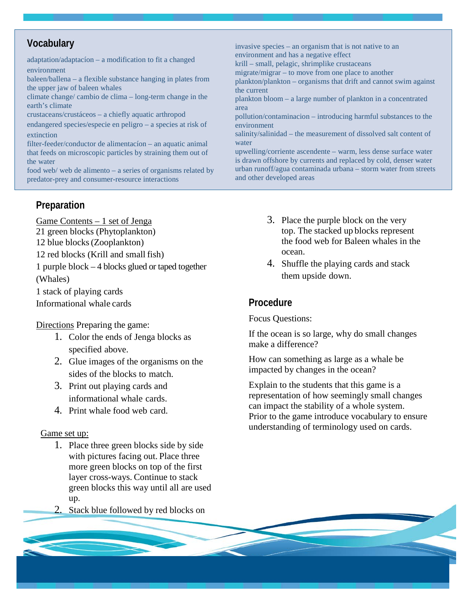## **Vocabulary**

adaptation/adaptacíon – a modification to fit a changed environment

baleen/ballena – a flexible substance hanging in plates from the upper jaw of baleen whales

climate change/ cambio de clima – long-term change in the earth's climate

crustaceans/crustáceos – a chiefly aquatic arthropod

endangered species/especie en peligro – a species at risk of extinction

filter-feeder/conductor de alimentacíon – an aquatic animal that feeds on microscopic particles by straining them out of the water

food web/ web de alimento – a series of organisms related by predator-prey and consumer-resource interactions

**Preparation**

Game Contents – 1 set of Jenga

- 21 green blocks (Phytoplankton)
- 12 blue blocks(Zooplankton)
- 12 red blocks (Krill and small fish)

1 purple block – 4 blocks glued or taped together (Whales)

1 stack of playing cards

Informational whale cards

Directions Preparing the game:

- 1. Color the ends of Jenga blocks as specified above.
- 2. Glue images of the organisms on the sides of the blocks to match.
- 3. Print out playing cards and informational whale cards.
- 4. Print whale food web card.

#### Game set up:

- 1. Place three green blocks side by side with pictures facing out. Place three more green blocks on top of the first layer cross-ways. Continue to stack green blocks this way until all are used up.
- 2. Stack blue followed by red blocks on
- $t_{\text{total}}$  of the green base until blocks and beginning  $t_{\text{total}}$  and  $t_{\text{total}}$  and  $t_{\text{total}}$  are the streets and other developed areas invasive species – an organism that is not native to an environment and has a negative effect krill – small, pelagic, shrimplike crustaceans migrate/migrar – to move from one place to another plankton/plankton – organisms that drift and cannot swim against the current plankton bloom – a large number of plankton in a concentrated area pollution/contaminacion – introducing harmful substances to the environment salinity/salinidad – the measurement of dissolved salt content of water upwelling/corriente ascendente – warm, less dense surface water is drawn offshore by currents and replaced by cold, denser water
	- 3. Place the purple block on the very top. The stacked up blocks represent the food web for Baleen whales in the ocean.
	- 4. Shuffle the playing cards and stack them upside down.

## **Procedure**

Focus Questions:

If the ocean is so large, why do small changes make a difference?

How can something as large as a whale be impacted by changes in the ocean?

Explain to the students that this game is a representation of how seemingly small changes can impact the stability of a whole system. Prior to the game introduce vocabulary to ensure understanding of terminology used on cards.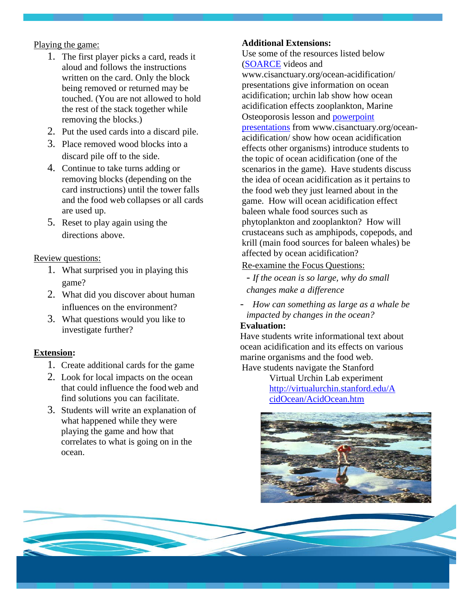Playing the game:

- 1. The first player picks a card, reads it aloud and follows the instructions written on the card. Only the block being removed or returned may be touched. (You are not allowed to hold the rest of the stack together while removing the blocks.)
- 2. Put the used cards into a discard pile.
- 3. Place removed wood blocks into a discard pile off to the side.
- 4. Continue to take turns adding or removing blocks (depending on the card instructions) until the tower falls and the food web collapses or all cards are used up.
- 5. Reset to play again using the directions above.

Review questions:

- 1. What surprised you in playing this game?
- 2. What did you discover about human influences on the environment?
- 3. What questions would you like to investigate further?

#### **Extension:**

- 1. Create additional cards for the game
- 2. Look for local impacts on the ocean that could influence the food web and find solutions you can facilitate.
- 3. Students will write an explanation of what happened while they were playing the game and how that correlates to what is going on in the ocean.

#### **Additional Extensions:**

Use some of the resources listed below [\(SOARCE](http://oceanacidification.noaa.gov/areasoffocus/educationoutreach/soarcewebinarseries.aspx) videos and

www.cisanctuary.org/ocean-acidification/ presentations give information on ocean acidification; urchin lab show how ocean acidification effects zooplankton, Marine Osteoporosis lesson and [powerpoint](http://www.cisanctuary.org/ocean-acidification/PDFs-WorkshopPage/Hands_on_acivities/Marine_Osteoporosis/ocean_acid2.pdf)  [presentations](http://www.cisanctuary.org/ocean-acidification/PDFs-WorkshopPage/Hands_on_acivities/Marine_Osteoporosis/ocean_acid2.pdf) from www.cisanctuary.org/oceanacidification/ show how ocean acidification effects other organisms) introduce students to the topic of ocean acidification (one of the scenarios in the game). Have students discuss the idea of ocean acidification as it pertains to the food web they just learned about in the game. How will ocean acidification effect baleen whale food sources such as phytoplankton and zooplankton? How will crustaceans such as amphipods, copepods, and krill (main food sources for baleen whales) be affected by ocean acidification?

#### Re-examine the Focus Questions:

- *- If the ocean is so large, why do small changes make a difference*
- *- How can something as large as a whale be impacted by changes in the ocean?*

#### **Evaluation:**

Have students write informational text about ocean acidification and its effects on various marine organisms and the food web. Have students navigate the Stanford

> Virtual Urchin Lab experiment [http://virtualurchin.stanford.edu/A](http://virtualurchin.stanford.edu/AcidOcean/AcidOcean.htm) [cidOcean/AcidOcean.htm](http://virtualurchin.stanford.edu/AcidOcean/AcidOcean.htm)



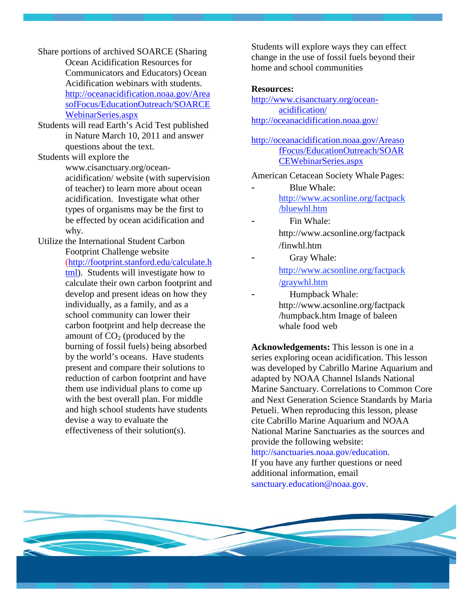- Share portions of archived SOARCE (Sharing Ocean Acidification Resources for Communicators and Educators) Ocean Acidification webinars with students. [http://oceanacidification.noaa.gov/Area](http://oceanacidification.noaa.gov/AreasofFocus/EducationOutreach/SOARCEWebinarSeries.aspx) [sofFocus/EducationOutreach/SOARCE](http://oceanacidification.noaa.gov/AreasofFocus/EducationOutreach/SOARCEWebinarSeries.aspx) [WebinarSeries.aspx](http://oceanacidification.noaa.gov/AreasofFocus/EducationOutreach/SOARCEWebinarSeries.aspx)
- Students will read Earth's Acid Test published in Nature March 10, 2011 and answer questions about the text.

Students will explore the www.cisanctuary.org/oceanacidification/ website (with supervision of teacher) to learn more about ocean acidification. Investigate what other types of organisms may be the first to be effected by ocean acidification and why.

Utilize the International Student Carbon Footprint Challenge website [\(http://footprint.stanford.edu/calculate.h](http://footprint.stanford.edu/calculate.html) [tml\)](http://footprint.stanford.edu/calculate.html). Students will investigate how to calculate their own carbon footprint and develop and present ideas on how they individually, as a family, and as a school community can lower their carbon footprint and help decrease the amount of  $CO<sub>2</sub>$  (produced by the burning of fossil fuels) being absorbed by the world's oceans. Have students present and compare their solutions to reduction of carbon footprint and have them use individual plans to come up with the best overall plan. For middle and high school students have students devise a way to evaluate the effectiveness of their solution(s).

Students will explore ways they can effect change in the use of fossil fuels beyond their home and school communities

#### **Resources:**

[http://www.cisanctuary.org/ocean](http://www.cisanctuary.org/ocean-acidification/)[acidification/](http://www.cisanctuary.org/ocean-acidification/) <http://oceanacidification.noaa.gov/>

[http://oceanacidification.noaa.gov/Areaso](http://oceanacidification.noaa.gov/AreasofFocus/EducationOutreach/SOARCEWebinarSeries.aspx) [fFocus/EducationOutreach/SOAR](http://oceanacidification.noaa.gov/AreasofFocus/EducationOutreach/SOARCEWebinarSeries.aspx) [CEWebinarSeries.aspx](http://oceanacidification.noaa.gov/AreasofFocus/EducationOutreach/SOARCEWebinarSeries.aspx)

American Cetacean Society Whale Pages:

- Blue Whale: [http://www.acsonline.org/factpack](http://www.acsonline.org/factpack/bluewhl.htm) [/bluewhl.htm](http://www.acsonline.org/factpack/bluewhl.htm)
	- Fin Whale: [http://www.acsonline.org/factpack](http://www.acsonline.org/factpack/finwhl.htm) [/finwhl.htm](http://www.acsonline.org/factpack/finwhl.htm)
	- Gray Whale:

[http://www.acsonline.org/factpack](http://www.acsonline.org/factpack/graywhl.htm) [/graywhl.htm](http://www.acsonline.org/factpack/graywhl.htm)

Humpback Whale: [http://www.acsonline.org/factpack](http://www.acsonline.org/factpack/humpback.htm) [/humpback.htm](http://www.acsonline.org/factpack/humpback.htm) Image of baleen whale food web

**Acknowledgements:** This lesson is one in a series exploring ocean acidification. This lesson was developed by Cabrillo Marine Aquarium and adapted by NOAA Channel Islands National Marine Sanctuary. Correlations to Common Core and Next Generation Science Standards by Maria Petueli. When reproducing this lesson, please cite Cabrillo Marine Aquarium and NOAA National Marine Sanctuaries as the sources and provide the following website:

#### http://sanctuaries.noaa.gov/education.

If you have any further questions or need additional information, email sanctuary.education@noaa.gov.

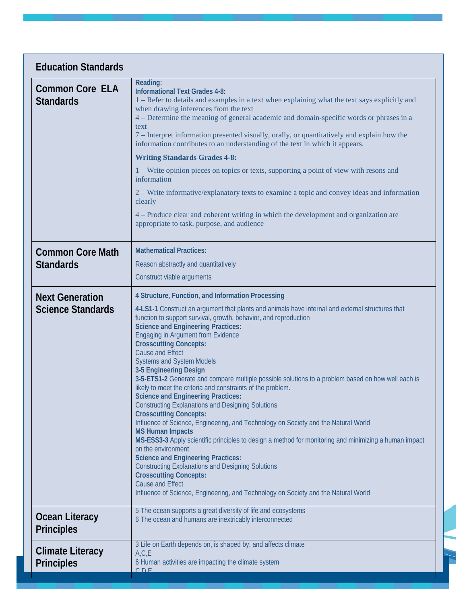| <b>Education Standards</b>                         |                                                                                                                                                                                                                                                                                                                                                                                                                                                                                                                                                                                                                                                                                                                                                                                                                                                                                                                                                                                                                                                                                                                                                                                                                                                                         |
|----------------------------------------------------|-------------------------------------------------------------------------------------------------------------------------------------------------------------------------------------------------------------------------------------------------------------------------------------------------------------------------------------------------------------------------------------------------------------------------------------------------------------------------------------------------------------------------------------------------------------------------------------------------------------------------------------------------------------------------------------------------------------------------------------------------------------------------------------------------------------------------------------------------------------------------------------------------------------------------------------------------------------------------------------------------------------------------------------------------------------------------------------------------------------------------------------------------------------------------------------------------------------------------------------------------------------------------|
| <b>Common Core ELA</b><br><b>Standards</b>         | Reading:<br><b>Informational Text Grades 4-8:</b><br>1 – Refer to details and examples in a text when explaining what the text says explicitly and<br>when drawing inferences from the text<br>4 - Determine the meaning of general academic and domain-specific words or phrases in a<br>text<br>7 – Interpret information presented visually, orally, or quantitatively and explain how the<br>information contributes to an understanding of the text in which it appears.<br><b>Writing Standards Grades 4-8:</b>                                                                                                                                                                                                                                                                                                                                                                                                                                                                                                                                                                                                                                                                                                                                                   |
|                                                    | 1 – Write opinion pieces on topics or texts, supporting a point of view with resons and<br>information                                                                                                                                                                                                                                                                                                                                                                                                                                                                                                                                                                                                                                                                                                                                                                                                                                                                                                                                                                                                                                                                                                                                                                  |
|                                                    | 2 – Write informative/explanatory texts to examine a topic and convey ideas and information<br>clearly                                                                                                                                                                                                                                                                                                                                                                                                                                                                                                                                                                                                                                                                                                                                                                                                                                                                                                                                                                                                                                                                                                                                                                  |
|                                                    | 4 – Produce clear and coherent writing in which the development and organization are<br>appropriate to task, purpose, and audience                                                                                                                                                                                                                                                                                                                                                                                                                                                                                                                                                                                                                                                                                                                                                                                                                                                                                                                                                                                                                                                                                                                                      |
| <b>Common Core Math</b>                            | <b>Mathematical Practices:</b>                                                                                                                                                                                                                                                                                                                                                                                                                                                                                                                                                                                                                                                                                                                                                                                                                                                                                                                                                                                                                                                                                                                                                                                                                                          |
| <b>Standards</b>                                   | Reason abstractly and quantitatively                                                                                                                                                                                                                                                                                                                                                                                                                                                                                                                                                                                                                                                                                                                                                                                                                                                                                                                                                                                                                                                                                                                                                                                                                                    |
|                                                    | Construct viable arguments                                                                                                                                                                                                                                                                                                                                                                                                                                                                                                                                                                                                                                                                                                                                                                                                                                                                                                                                                                                                                                                                                                                                                                                                                                              |
| <b>Next Generation</b><br><b>Science Standards</b> | 4 Structure, Function, and Information Processing<br>4-LS1-1 Construct an argument that plants and animals have internal and external structures that<br>function to support survival, growth, behavior, and reproduction<br><b>Science and Engineering Practices:</b><br><b>Engaging in Argument from Evidence</b><br><b>Crosscutting Concepts:</b><br><b>Cause and Effect</b><br><b>Systems and System Models</b><br>3-5 Engineering Design<br>3-5-ETS1-2 Generate and compare multiple possible solutions to a problem based on how well each is<br>likely to meet the criteria and constraints of the problem.<br><b>Science and Engineering Practices:</b><br><b>Constructing Explanations and Designing Solutions</b><br><b>Crosscutting Concepts:</b><br>Influence of Science, Engineering, and Technology on Society and the Natural World<br><b>MS Human Impacts</b><br>MS-ESS3-3 Apply scientific principles to design a method for monitoring and minimizing a human impact<br>on the environment<br><b>Science and Engineering Practices:</b><br><b>Constructing Explanations and Designing Solutions</b><br><b>Crosscutting Concepts:</b><br><b>Cause and Effect</b><br>Influence of Science, Engineering, and Technology on Society and the Natural World |
| <b>Ocean Literacy</b><br><b>Principles</b>         | 5 The ocean supports a great diversity of life and ecosystems<br>6 The ocean and humans are inextricably interconnected                                                                                                                                                                                                                                                                                                                                                                                                                                                                                                                                                                                                                                                                                                                                                                                                                                                                                                                                                                                                                                                                                                                                                 |
| <b>Climate Literacy</b><br><b>Principles</b>       | 3 Life on Earth depends on, is shaped by, and affects climate<br>A, C, E<br>6 Human activities are impacting the climate system<br>CDE                                                                                                                                                                                                                                                                                                                                                                                                                                                                                                                                                                                                                                                                                                                                                                                                                                                                                                                                                                                                                                                                                                                                  |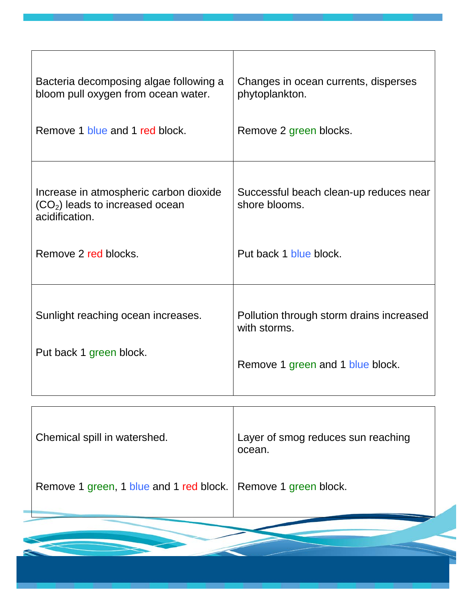| Bacteria decomposing algae following a<br>bloom pull oxygen from ocean water.<br>Remove 1 blue and 1 red block. | Changes in ocean currents, disperses<br>phytoplankton.<br>Remove 2 green blocks. |
|-----------------------------------------------------------------------------------------------------------------|----------------------------------------------------------------------------------|
| Increase in atmospheric carbon dioxide<br>$(CO2)$ leads to increased ocean<br>acidification.                    | Successful beach clean-up reduces near<br>shore blooms.                          |
| Remove 2 red blocks.                                                                                            | Put back 1 blue block.                                                           |
|                                                                                                                 |                                                                                  |
| Sunlight reaching ocean increases.                                                                              | Pollution through storm drains increased<br>with storms.                         |
| Put back 1 green block.                                                                                         | Remove 1 green and 1 blue block.                                                 |
|                                                                                                                 |                                                                                  |

| Chemical spill in watershed.                                    | Layer of smog reduces sun reaching<br>ocean. |  |
|-----------------------------------------------------------------|----------------------------------------------|--|
| Remove 1 green, 1 blue and 1 red block.   Remove 1 green block. |                                              |  |

≈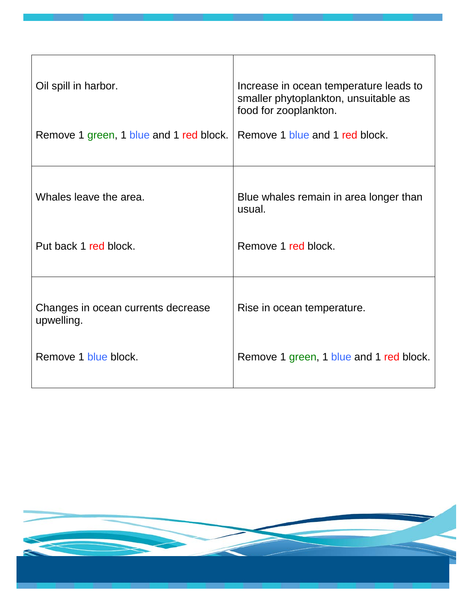| Oil spill in harbor.<br>Remove 1 green, 1 blue and 1 red block.          | Increase in ocean temperature leads to<br>smaller phytoplankton, unsuitable as<br>food for zooplankton.<br>Remove 1 blue and 1 red block. |
|--------------------------------------------------------------------------|-------------------------------------------------------------------------------------------------------------------------------------------|
| Whales leave the area.<br>Put back 1 red block.                          | Blue whales remain in area longer than<br>usual.<br>Remove 1 red block.                                                                   |
| Changes in ocean currents decrease<br>upwelling.<br>Remove 1 blue block. | Rise in ocean temperature.<br>Remove 1 green, 1 blue and 1 red block.                                                                     |

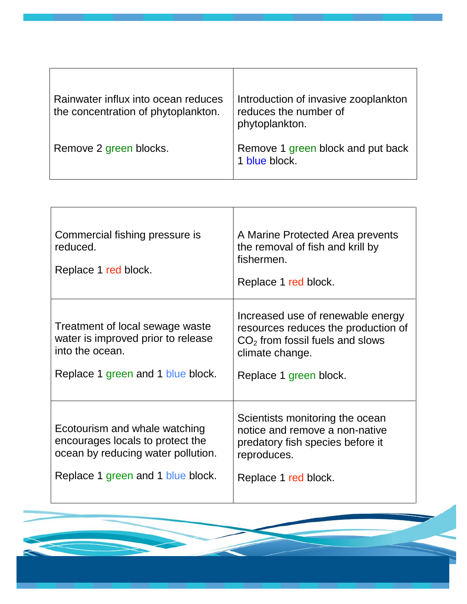| Rainwater influx into ocean reduces<br>the concentration of phytoplankton. | Introduction of invasive zooplankton<br>reduces the number of<br>phytoplankton. |
|----------------------------------------------------------------------------|---------------------------------------------------------------------------------|
| Remove 2 green blocks.                                                     | Remove 1 green block and put back<br>1 blue block.                              |

| Commercial fishing pressure is<br>reduced.<br>Replace 1 red block.                                                                           | A Marine Protected Area prevents<br>the removal of fish and krill by<br>fishermen.<br>Replace 1 red block.                                                 |
|----------------------------------------------------------------------------------------------------------------------------------------------|------------------------------------------------------------------------------------------------------------------------------------------------------------|
| Treatment of local sewage waste<br>water is improved prior to release<br>into the ocean.<br>Replace 1 green and 1 blue block.                | Increased use of renewable energy<br>resources reduces the production of<br>$CO2$ from fossil fuels and slows<br>climate change.<br>Replace 1 green block. |
| Ecotourism and whale watching<br>encourages locals to protect the<br>ocean by reducing water pollution.<br>Replace 1 green and 1 blue block. | Scientists monitoring the ocean<br>notice and remove a non-native<br>predatory fish species before it<br>reproduces.<br>Replace 1 red block.               |

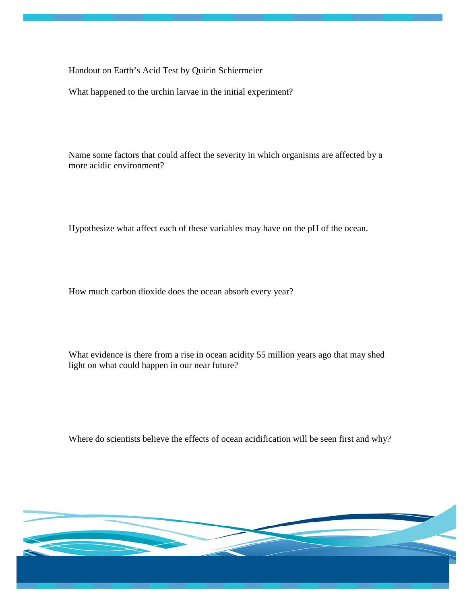Handout on Earth's Acid Test by Quirin Schiermeier

What happened to the urchin larvae in the initial experiment?

Name some factors that could affect the severity in which organisms are affected by a more acidic environment?

Hypothesize what affect each of these variables may have on the pH of the ocean.

How much carbon dioxide does the ocean absorb every year?

What evidence is there from a rise in ocean acidity 55 million years ago that may shed light on what could happen in our near future?

Where do scientists believe the effects of ocean acidification will be seen first and why?

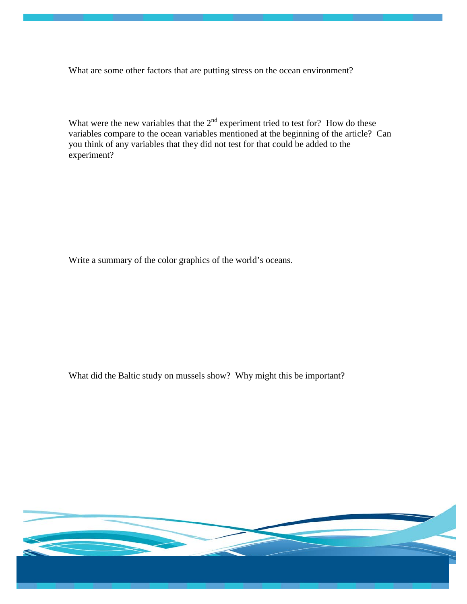What are some other factors that are putting stress on the ocean environment?

What were the new variables that the  $2<sup>nd</sup>$  experiment tried to test for? How do these variables compare to the ocean variables mentioned at the beginning of the article? Can you think of any variables that they did not test for that could be added to the experiment?

Write a summary of the color graphics of the world's oceans.

What did the Baltic study on mussels show? Why might this be important?

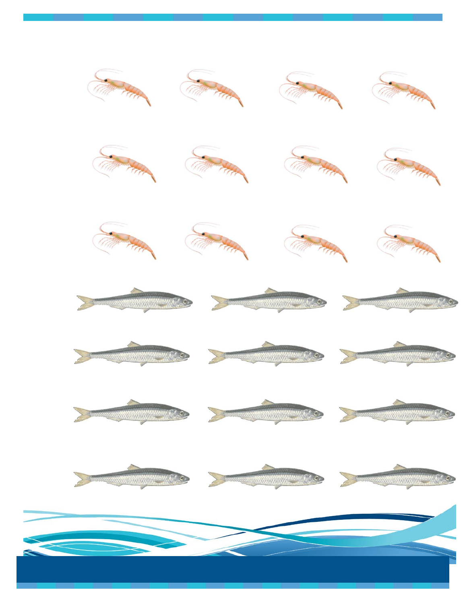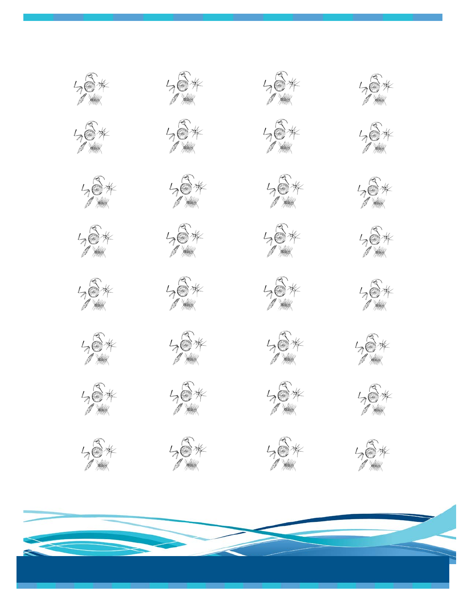















































\*







\*











\*

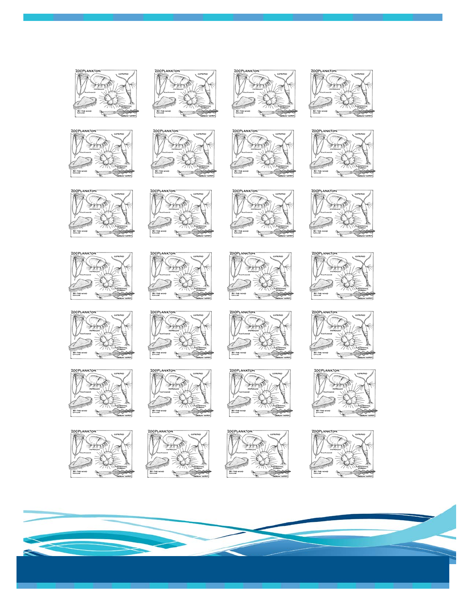



₩

84-14







ੈ∈

Br-THE







Y

SALOR

ZOOPLANKTON



















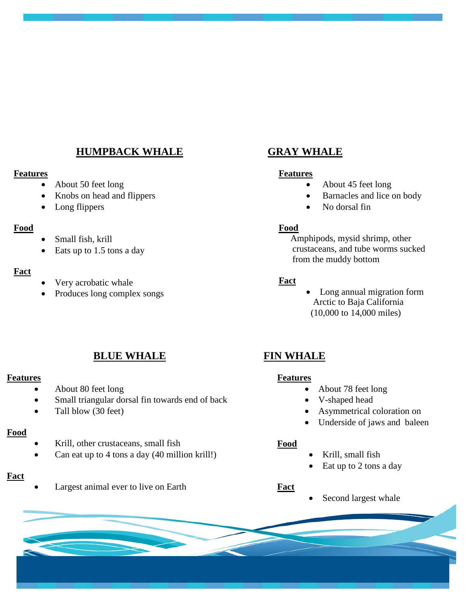## **HUMPBACK WHALE**

#### **Features**

- About 50 feet long
- Knobs on head and flippers
- Long flippers

#### **Food**

- Small fish, krill
- Eats up to 1.5 tons a day

#### **Fact**

- Very acrobatic whale
- Produces long complex songs

## **GRAY WHALE**

#### **Features**

- About 45 feet long
- Barnacles and lice on body
- No dorsal fin

#### **Food**

 Amphipods, mysid shrimp, other crustaceans, and tube worms sucked from the muddy bottom

#### **Fact**

• Long annual migration form Arctic to Baja California (10,000 to 14,000 miles)

## **BLUE WHALE**

#### **Features**

- About 80 feet long
- Small triangular dorsal fin towards end of back
- Tall blow (30 feet)

#### **Food**

- Krill, other crustaceans, small fish
- Can eat up to 4 tons a day (40 million krill!)

#### **Fact**

Largest animal ever to live on Earth

## **FIN WHALE**

#### **Features**

- About 78 feet long
- V-shaped head
- Asymmetrical coloration on
- Underside of jaws and baleen

#### **Food**

- Krill, small fish
- Eat up to 2 tons a day

#### **Fact**

Second largest whale